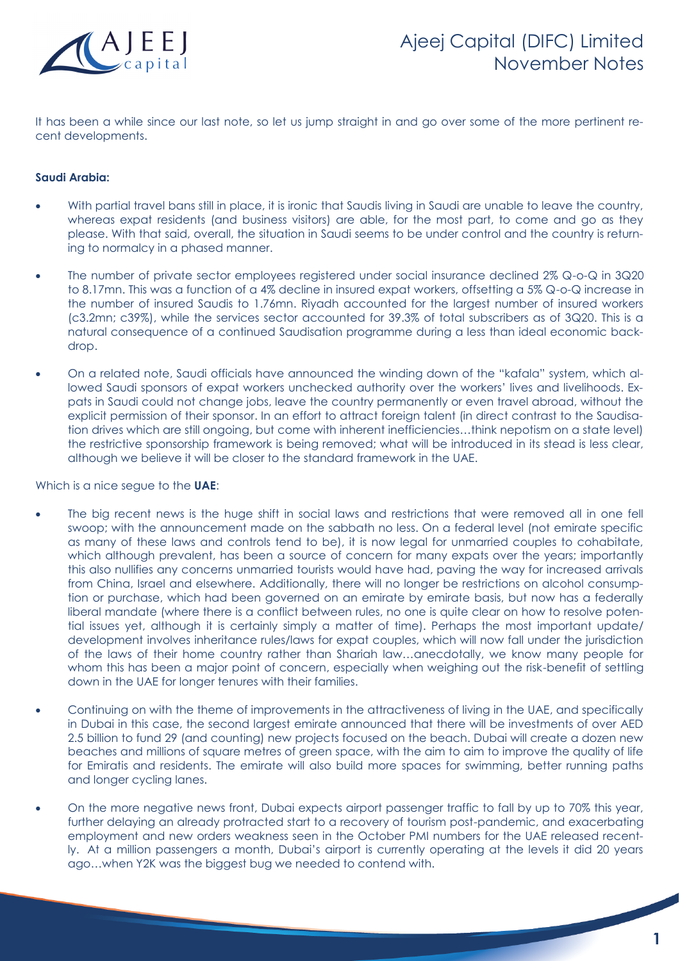

It has been a while since our last note, so let us jump straight in and go over some of the more pertinent recent developments.

## **Saudi Arabia:**

- With partial travel bans still in place, it is ironic that Saudis living in Saudi are unable to leave the country, whereas expat residents (and business visitors) are able, for the most part, to come and go as they please. With that said, overall, the situation in Saudi seems to be under control and the country is returning to normalcy in a phased manner.
- The number of private sector employees registered under social insurance declined 2% Q-o-Q in 3Q20 to 8.17mn. This was a function of a 4% decline in insured expat workers, offsetting a 5% Q-o-Q increase in the number of insured Saudis to 1.76mn. Riyadh accounted for the largest number of insured workers (c3.2mn; c39%), while the services sector accounted for 39.3% of total subscribers as of 3Q20. This is a natural consequence of a continued Saudisation programme during a less than ideal economic backdrop.
- On a related note, Saudi officials have announced the winding down of the "kafala" system, which allowed Saudi sponsors of expat workers unchecked authority over the workers' lives and livelihoods. Expats in Saudi could not change jobs, leave the country permanently or even travel abroad, without the explicit permission of their sponsor. In an effort to attract foreign talent (in direct contrast to the Saudisation drives which are still ongoing, but come with inherent inefficiencies…think nepotism on a state level) the restrictive sponsorship framework is being removed; what will be introduced in its stead is less clear, although we believe it will be closer to the standard framework in the UAE.

Which is a nice segue to the **UAE**:

- The big recent news is the huge shift in social laws and restrictions that were removed all in one fell swoop; with the announcement made on the sabbath no less. On a federal level (not emirate specific as many of these laws and controls tend to be), it is now legal for unmarried couples to cohabitate, which although prevalent, has been a source of concern for many expats over the years; importantly this also nullifies any concerns unmarried tourists would have had, paving the way for increased arrivals from China, Israel and elsewhere. Additionally, there will no longer be restrictions on alcohol consumption or purchase, which had been governed on an emirate by emirate basis, but now has a federally liberal mandate (where there is a conflict between rules, no one is quite clear on how to resolve potential issues yet, although it is certainly simply a matter of time). Perhaps the most important update/ development involves inheritance rules/laws for expat couples, which will now fall under the jurisdiction of the laws of their home country rather than Shariah law…anecdotally, we know many people for whom this has been a major point of concern, especially when weighing out the risk-benefit of settling down in the UAE for longer tenures with their families.
- Continuing on with the theme of improvements in the attractiveness of living in the UAE, and specifically in Dubai in this case, the second largest emirate announced that there will be investments of over AED 2.5 billion to fund 29 (and counting) new projects focused on the beach. Dubai will create a dozen new beaches and millions of square metres of green space, with the aim to aim to improve the quality of life for Emiratis and residents. The emirate will also build more spaces for swimming, better running paths and longer cycling lanes.
- On the more negative news front, Dubai expects airport passenger traffic to fall by up to 70% this year, further delaying an already protracted start to a recovery of tourism post-pandemic, and exacerbating employment and new orders weakness seen in the October PMI numbers for the UAE released recently. At a million passengers a month, Dubai's airport is currently operating at the levels it did 20 years ago…when Y2K was the biggest bug we needed to contend with.